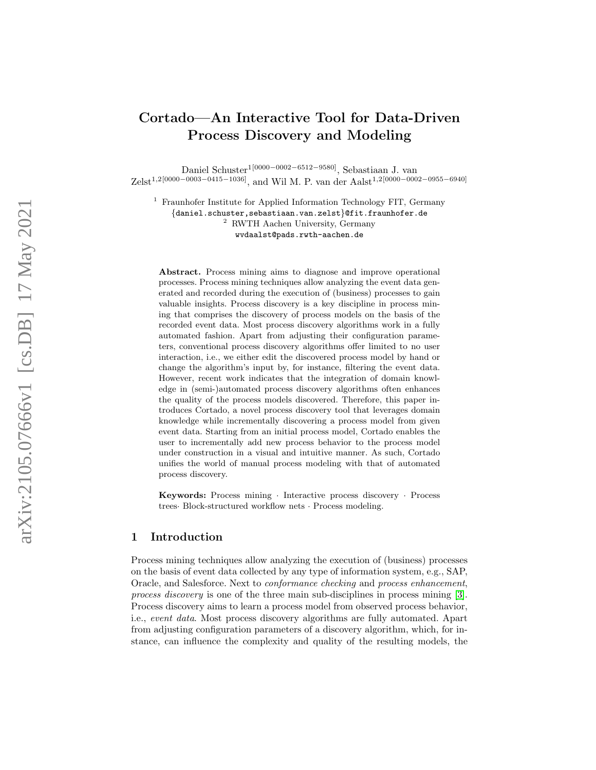# Cortado—An Interactive Tool for Data-Driven Process Discovery and Modeling

Daniel Schuster<sup>1[0000–0002–6512–9580]</sup>, Sebastiaan J. van Zelst<sup>1,2</sup>[0000–0003–0415–1036], and Wil M. P. van der Aalst<sup>1,2</sup>[0000–0002–0955–6940]

<sup>1</sup> Fraunhofer Institute for Applied Information Technology FIT, Germany {daniel.schuster,sebastiaan.van.zelst}@fit.fraunhofer.de <sup>2</sup> RWTH Aachen University, Germany wvdaalst@pads.rwth-aachen.de

Abstract. Process mining aims to diagnose and improve operational processes. Process mining techniques allow analyzing the event data generated and recorded during the execution of (business) processes to gain valuable insights. Process discovery is a key discipline in process mining that comprises the discovery of process models on the basis of the recorded event data. Most process discovery algorithms work in a fully automated fashion. Apart from adjusting their configuration parameters, conventional process discovery algorithms offer limited to no user interaction, i.e., we either edit the discovered process model by hand or change the algorithm's input by, for instance, filtering the event data. However, recent work indicates that the integration of domain knowledge in (semi-)automated process discovery algorithms often enhances the quality of the process models discovered. Therefore, this paper introduces Cortado, a novel process discovery tool that leverages domain knowledge while incrementally discovering a process model from given event data. Starting from an initial process model, Cortado enables the user to incrementally add new process behavior to the process model under construction in a visual and intuitive manner. As such, Cortado unifies the world of manual process modeling with that of automated process discovery.

Keywords: Process mining · Interactive process discovery · Process trees · Block-structured workflow nets · Process modeling.

## 1 Introduction

Process mining techniques allow analyzing the execution of (business) processes on the basis of event data collected by any type of information system, e.g., SAP, Oracle, and Salesforce. Next to *conformance checking* and *process enhancement*, process discovery is one of the three main sub-disciplines in process mining [\[3\]](#page-10-0). Process discovery aims to learn a process model from observed process behavior, i.e., event data. Most process discovery algorithms are fully automated. Apart from adjusting configuration parameters of a discovery algorithm, which, for instance, can influence the complexity and quality of the resulting models, the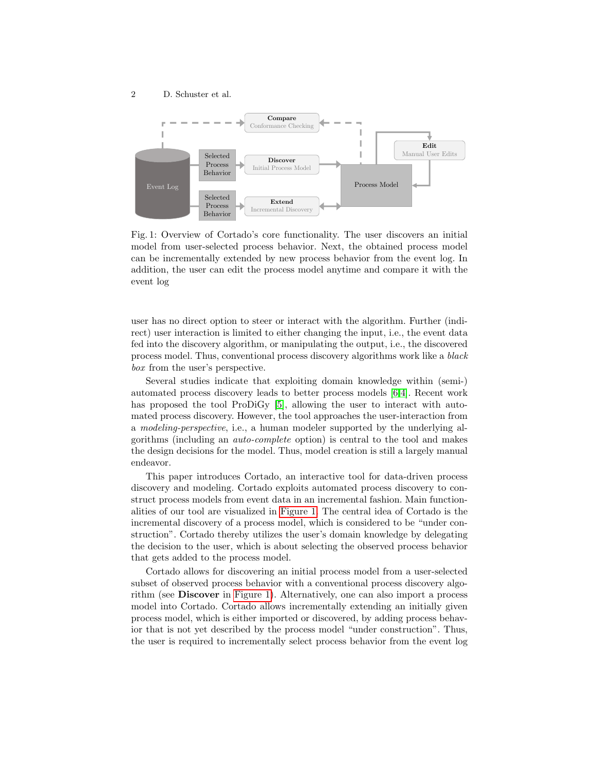<span id="page-1-0"></span>

Fig. 1: Overview of Cortado's core functionality. The user discovers an initial model from user-selected process behavior. Next, the obtained process model can be incrementally extended by new process behavior from the event log. In addition, the user can edit the process model anytime and compare it with the event log

user has no direct option to steer or interact with the algorithm. Further (indirect) user interaction is limited to either changing the input, i.e., the event data fed into the discovery algorithm, or manipulating the output, i.e., the discovered process model. Thus, conventional process discovery algorithms work like a black box from the user's perspective.

Several studies indicate that exploiting domain knowledge within (semi-) automated process discovery leads to better process models [\[6,](#page-10-1)[4\]](#page-10-2). Recent work has proposed the tool ProDiGy [\[5\]](#page-10-3), allowing the user to interact with automated process discovery. However, the tool approaches the user-interaction from a modeling-perspective, i.e., a human modeler supported by the underlying algorithms (including an auto-complete option) is central to the tool and makes the design decisions for the model. Thus, model creation is still a largely manual endeavor.

This paper introduces Cortado, an interactive tool for data-driven process discovery and modeling. Cortado exploits automated process discovery to construct process models from event data in an incremental fashion. Main functionalities of our tool are visualized in [Figure 1.](#page-1-0) The central idea of Cortado is the incremental discovery of a process model, which is considered to be "under construction". Cortado thereby utilizes the user's domain knowledge by delegating the decision to the user, which is about selecting the observed process behavior that gets added to the process model.

Cortado allows for discovering an initial process model from a user-selected subset of observed process behavior with a conventional process discovery algorithm (see Discover in [Figure 1\)](#page-1-0). Alternatively, one can also import a process model into Cortado. Cortado allows incrementally extending an initially given process model, which is either imported or discovered, by adding process behavior that is not yet described by the process model "under construction". Thus, the user is required to incrementally select process behavior from the event log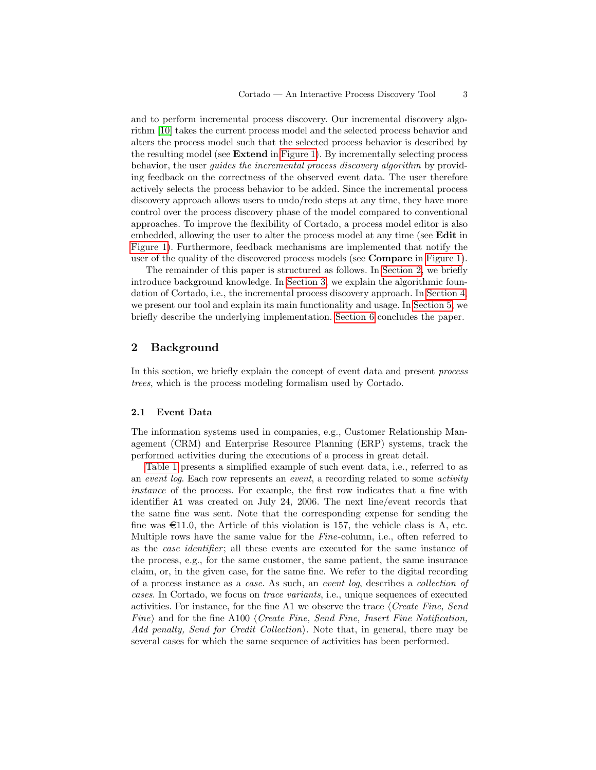and to perform incremental process discovery. Our incremental discovery algorithm [\[10\]](#page-10-4) takes the current process model and the selected process behavior and alters the process model such that the selected process behavior is described by the resulting model (see Extend in [Figure 1\)](#page-1-0). By incrementally selecting process behavior, the user guides the incremental process discovery algorithm by providing feedback on the correctness of the observed event data. The user therefore actively selects the process behavior to be added. Since the incremental process discovery approach allows users to undo/redo steps at any time, they have more control over the process discovery phase of the model compared to conventional approaches. To improve the flexibility of Cortado, a process model editor is also embedded, allowing the user to alter the process model at any time (see Edit in [Figure 1\)](#page-1-0). Furthermore, feedback mechanisms are implemented that notify the user of the quality of the discovered process models (see Compare in [Figure 1\)](#page-1-0).

The remainder of this paper is structured as follows. In [Section 2,](#page-2-0) we briefly introduce background knowledge. In [Section 3,](#page-4-0) we explain the algorithmic foundation of Cortado, i.e., the incremental process discovery approach. In [Section 4,](#page-5-0) we present our tool and explain its main functionality and usage. In [Section 5,](#page-9-0) we briefly describe the underlying implementation. [Section 6](#page-9-1) concludes the paper.

# <span id="page-2-0"></span>2 Background

In this section, we briefly explain the concept of event data and present *process* trees, which is the process modeling formalism used by Cortado.

#### 2.1 Event Data

The information systems used in companies, e.g., Customer Relationship Management (CRM) and Enterprise Resource Planning (ERP) systems, track the performed activities during the executions of a process in great detail.

[Table 1](#page-3-0) presents a simplified example of such event data, i.e., referred to as an event log. Each row represents an event, a recording related to some *activity* instance of the process. For example, the first row indicates that a fine with identifier A1 was created on July 24, 2006. The next line/event records that the same fine was sent. Note that the corresponding expense for sending the fine was  $\epsilon$ 11.0, the Article of this violation is 157, the vehicle class is A, etc. Multiple rows have the same value for the Fine-column, i.e., often referred to as the *case identifier*; all these events are executed for the same instance of the process, e.g., for the same customer, the same patient, the same insurance claim, or, in the given case, for the same fine. We refer to the digital recording of a process instance as a case. As such, an event log, describes a collection of cases. In Cortado, we focus on trace variants, i.e., unique sequences of executed activities. For instance, for the fine A1 we observe the trace  $\langle Create\, Fine, Send$ Fine) and for the fine A100 (Create Fine, Send Fine, Insert Fine Notification, Add penalty, Send for Credit Collection. Note that, in general, there may be several cases for which the same sequence of activities has been performed.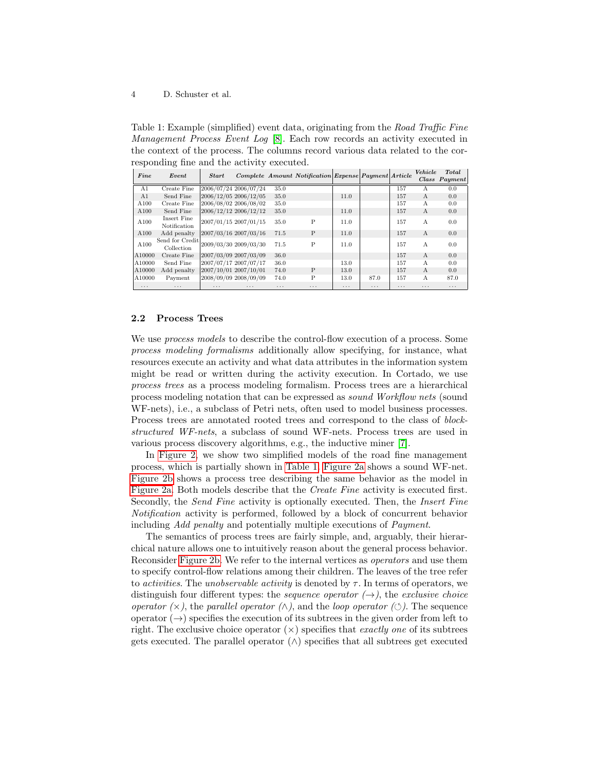<span id="page-3-0"></span>Table 1: Example (simplified) event data, originating from the Road Traffic Fine Management Process Event Log [\[8\]](#page-10-5). Each row records an activity executed in the context of the process. The columns record various data related to the corresponding fine and the activity executed.

| Fine             | Event                         | <b>Start</b> |                       |          | <i>Complete</i>   Amount   Notification   Expense   Payment   Article |          |          |          | Vehicle           | <b>Total</b> |
|------------------|-------------------------------|--------------|-----------------------|----------|-----------------------------------------------------------------------|----------|----------|----------|-------------------|--------------|
|                  |                               |              |                       |          |                                                                       |          |          |          | $\mathcal{C}lass$ | Payment      |
| A <sub>1</sub>   | Create Fine                   |              | 2006/07/24 2006/07/24 | 35.0     |                                                                       |          |          | 157      | А                 | 0.0          |
| A <sub>1</sub>   | Send Fine                     |              | 2006/12/05 2006/12/05 | 35.0     |                                                                       | 11.0     |          | 157      | $\mathbf{A}$      | 0.0          |
| A100             | Create Fine                   |              | 2006/08/02 2006/08/02 | 35.0     |                                                                       |          |          | 157      | $\mathbf{A}$      | 0.0          |
| A <sub>100</sub> | Send Fine                     |              | 2006/12/12 2006/12/12 | 35.0     |                                                                       | 11.0     |          | 157      | $\mathbf{A}$      | 0.0          |
| A100             | Insert Fine<br>Notification   |              | 2007/01/15 2007/01/15 | 35.0     | P                                                                     | 11.0     |          | 157      | $\mathbf{A}$      | 0.0          |
| A <sub>100</sub> | Add penalty                   |              | 2007/03/16 2007/03/16 | 71.5     | P                                                                     | 11.0     |          | 157      | $\mathbf{A}$      | 0.0          |
| A100             | Send for Credit<br>Collection |              | 2009/03/30 2009/03/30 | 71.5     | P                                                                     | 11.0     |          | 157      | $\mathbf{A}$      | 0.0          |
| A10000           | Create Fine                   |              | 2007/03/09 2007/03/09 | 36.0     |                                                                       |          |          | 157      | $\mathbf{A}$      | 0.0          |
| A10000           | Send Fine                     |              | 2007/07/17 2007/07/17 | 36.0     |                                                                       | 13.0     |          | 157      | $\mathbf{A}$      | 0.0          |
| A10000           | Add penalty                   |              | 2007/10/01 2007/10/01 | 74.0     | P                                                                     | 13.0     |          | 157      | $\mathbf{A}$      | 0.0          |
| A10000           | Payment                       |              | 2008/09/09 2008/09/09 | 74.0     | P                                                                     | 13.0     | 87.0     | 157      | $\mathbf{A}$      | 87.0         |
| $\cdots$         | $\cdots$                      | $\cdots$     | $\cdots$              | $\cdots$ | $\cdots$                                                              | $\cdots$ | $\cdots$ | $\cdots$ | $\cdots$          | $\cdots$     |

#### 2.2 Process Trees

We use process models to describe the control-flow execution of a process. Some process modeling formalisms additionally allow specifying, for instance, what resources execute an activity and what data attributes in the information system might be read or written during the activity execution. In Cortado, we use process trees as a process modeling formalism. Process trees are a hierarchical process modeling notation that can be expressed as sound Workflow nets (sound WF-nets), i.e., a subclass of Petri nets, often used to model business processes. Process trees are annotated rooted trees and correspond to the class of blockstructured WF-nets, a subclass of sound WF-nets. Process trees are used in various process discovery algorithms, e.g., the inductive miner [\[7\]](#page-10-6).

In [Figure 2,](#page-4-1) we show two simplified models of the road fine management process, which is partially shown in [Table 1.](#page-3-0) [Figure 2a](#page-4-1) shows a sound WF-net. [Figure 2b](#page-4-1) shows a process tree describing the same behavior as the model in [Figure 2a.](#page-4-1) Both models describe that the Create Fine activity is executed first. Secondly, the Send Fine activity is optionally executed. Then, the Insert Fine Notification activity is performed, followed by a block of concurrent behavior including Add penalty and potentially multiple executions of Payment.

The semantics of process trees are fairly simple, and, arguably, their hierarchical nature allows one to intuitively reason about the general process behavior. Reconsider [Figure 2b.](#page-4-1) We refer to the internal vertices as operators and use them to specify control-flow relations among their children. The leaves of the tree refer to *activities*. The *unobservable activity* is denoted by  $\tau$ . In terms of operators, we distinguish four different types: the *sequence operator*  $(\rightarrow)$ , the *exclusive choice* operator  $(\times)$ , the parallel operator  $(\wedge)$ , and the loop operator  $(\circ)$ . The sequence operator  $(\rightarrow)$  specifies the execution of its subtrees in the given order from left to right. The exclusive choice operator  $(x)$  specifies that *exactly one* of its subtrees gets executed. The parallel operator  $(\wedge)$  specifies that all subtrees get executed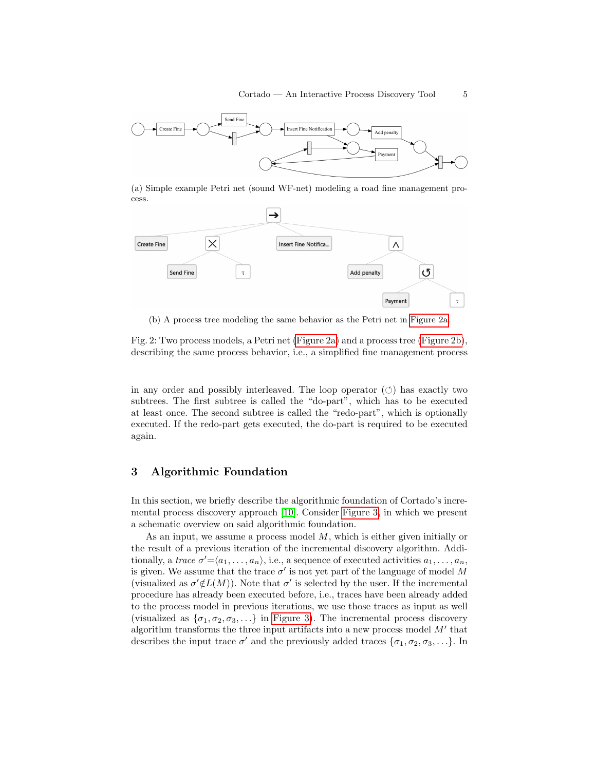<span id="page-4-1"></span>

(a) Simple example Petri net (sound WF-net) modeling a road fine management process.



(b) A process tree modeling the same behavior as the Petri net in [Figure 2a.](#page-4-1)

Fig. 2: Two process models, a Petri net [\(Figure 2a\)](#page-4-1) and a process tree [\(Figure 2b\)](#page-4-1), describing the same process behavior, i.e., a simplified fine management process

in any order and possibly interleaved. The loop operator  $(\circ)$  has exactly two subtrees. The first subtree is called the "do-part", which has to be executed at least once. The second subtree is called the "redo-part", which is optionally executed. If the redo-part gets executed, the do-part is required to be executed again.

# <span id="page-4-0"></span>3 Algorithmic Foundation

In this section, we briefly describe the algorithmic foundation of Cortado's incremental process discovery approach [\[10\]](#page-10-4). Consider [Figure 3,](#page-5-1) in which we present a schematic overview on said algorithmic foundation.

As an input, we assume a process model  $M$ , which is either given initially or the result of a previous iteration of the incremental discovery algorithm. Additionally, a *trace*  $\sigma' = \langle a_1, \ldots, a_n \rangle$ , i.e., a sequence of executed activities  $a_1, \ldots, a_n$ , is given. We assume that the trace  $\sigma'$  is not yet part of the language of model M (visualized as  $\sigma' \notin L(M)$ ). Note that  $\sigma'$  is selected by the user. If the incremental procedure has already been executed before, i.e., traces have been already added to the process model in previous iterations, we use those traces as input as well (visualized as  $\{\sigma_1, \sigma_2, \sigma_3, ...\}$  in [Figure 3\)](#page-5-1). The incremental process discovery algorithm transforms the three input artifacts into a new process model  $M'$  that describes the input trace  $\sigma'$  and the previously added traces  $\{\sigma_1, \sigma_2, \sigma_3, \ldots\}$ . In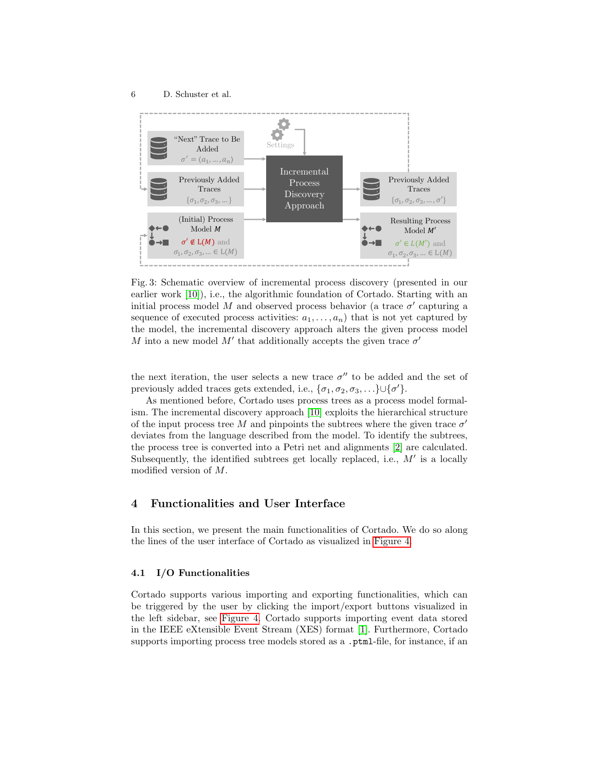<span id="page-5-1"></span>

Fig. 3: Schematic overview of incremental process discovery (presented in our earlier work [\[10\]](#page-10-4)), i.e., the algorithmic foundation of Cortado. Starting with an initial process model M and observed process behavior (a trace  $\sigma'$  capturing a sequence of executed process activities:  $a_1, \ldots, a_n$  that is not yet captured by the model, the incremental discovery approach alters the given process model M into a new model M' that additionally accepts the given trace  $\sigma'$ 

the next iteration, the user selects a new trace  $\sigma''$  to be added and the set of previously added traces gets extended, i.e.,  $\{\sigma_1, \sigma_2, \sigma_3, \ldots\} \cup \{\sigma'\}.$ 

As mentioned before, Cortado uses process trees as a process model formalism. The incremental discovery approach [\[10\]](#page-10-4) exploits the hierarchical structure of the input process tree M and pinpoints the subtrees where the given trace  $\sigma'$ deviates from the language described from the model. To identify the subtrees, the process tree is converted into a Petri net and alignments [\[2\]](#page-10-7) are calculated. Subsequently, the identified subtrees get locally replaced, i.e.,  $M'$  is a locally modified version of M.

## <span id="page-5-0"></span>4 Functionalities and User Interface

In this section, we present the main functionalities of Cortado. We do so along the lines of the user interface of Cortado as visualized in [Figure 4.](#page-6-0)

#### 4.1 I/O Functionalities

Cortado supports various importing and exporting functionalities, which can be triggered by the user by clicking the import/export buttons visualized in the left sidebar, see [Figure 4.](#page-6-0) Cortado supports importing event data stored in the IEEE eXtensible Event Stream (XES) format [\[1\]](#page-10-8). Furthermore, Cortado supports importing process tree models stored as a .ptml-file, for instance, if an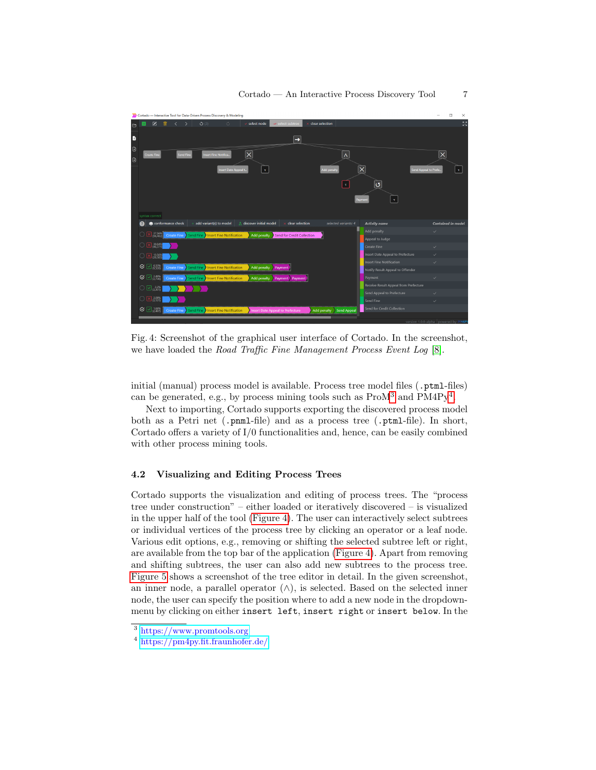<span id="page-6-0"></span>

Fig. 4: Screenshot of the graphical user interface of Cortado. In the screenshot, we have loaded the Road Traffic Fine Management Process Event Log [\[8\]](#page-10-5).

initial (manual) process model is available. Process tree model files (.ptml-files) can be generated, e.g., by process mining tools such as  $P\text{r}oM^3$  $P\text{r}oM^3$  and  $P\text{M}4P\text{y}^4$  $P\text{M}4P\text{y}^4$  $P\text{M}4P\text{y}^4$ .

Next to importing, Cortado supports exporting the discovered process model both as a Petri net (.pnml-file) and as a process tree (.ptml-file). In short, Cortado offers a variety of I/0 functionalities and, hence, can be easily combined with other process mining tools.

#### 4.2 Visualizing and Editing Process Trees

Cortado supports the visualization and editing of process trees. The "process tree under construction" – either loaded or iteratively discovered – is visualized in the upper half of the tool [\(Figure 4\)](#page-6-0). The user can interactively select subtrees or individual vertices of the process tree by clicking an operator or a leaf node. Various edit options, e.g., removing or shifting the selected subtree left or right, are available from the top bar of the application [\(Figure 4\)](#page-6-0). Apart from removing and shifting subtrees, the user can also add new subtrees to the process tree. [Figure 5](#page-7-0) shows a screenshot of the tree editor in detail. In the given screenshot, an inner node, a parallel operator  $(\wedge)$ , is selected. Based on the selected inner node, the user can specify the position where to add a new node in the dropdownmenu by clicking on either insert left, insert right or insert below. In the

<span id="page-6-1"></span><sup>3</sup> <https://www.promtools.org>

<span id="page-6-2"></span><sup>4</sup> <https://pm4py.fit.fraunhofer.de/>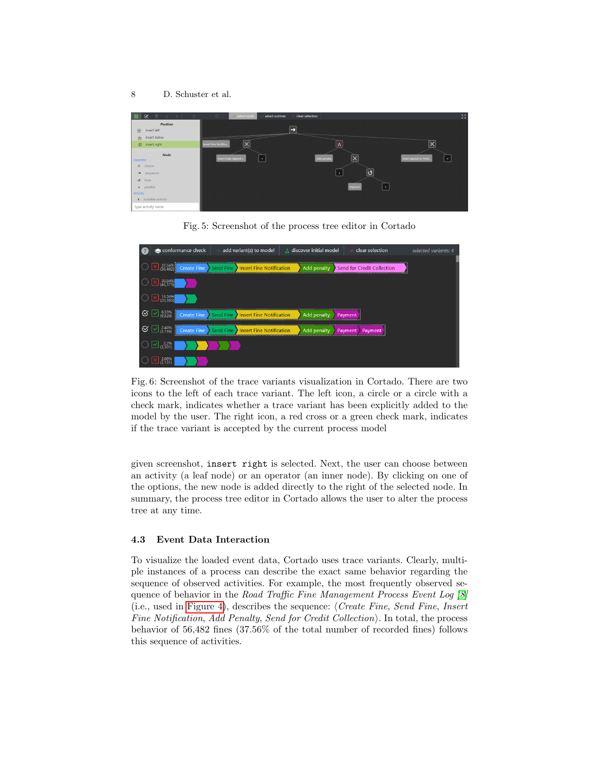<span id="page-7-0"></span>

Fig. 5: Screenshot of the process tree editor in Cortado

<span id="page-7-1"></span>

Fig. 6: Screenshot of the trace variants visualization in Cortado. There are two icons to the left of each trace variant. The left icon, a circle or a circle with a check mark, indicates whether a trace variant has been explicitly added to the model by the user. The right icon, a red cross or a green check mark, indicates if the trace variant is accepted by the current process model

given screenshot, insert right is selected. Next, the user can choose between an activity (a leaf node) or an operator (an inner node). By clicking on one of the options, the new node is added directly to the right of the selected node. In summary, the process tree editor in Cortado allows the user to alter the process tree at any time.

#### 4.3 Event Data Interaction

To visualize the loaded event data, Cortado uses trace variants. Clearly, multiple instances of a process can describe the exact same behavior regarding the sequence of observed activities. For example, the most frequently observed se-quence of behavior in the Road Traffic Fine Management Process Event Log [\[8\]](#page-10-5) (i.e., used in [Figure 4\)](#page-6-0), describes the sequence:  $\langle Create\, Fine, Send\, Fine, Insert$ Fine Notification, Add Penalty, Send for Credit Collection. In total, the process behavior of 56,482 fines (37.56% of the total number of recorded fines) follows this sequence of activities.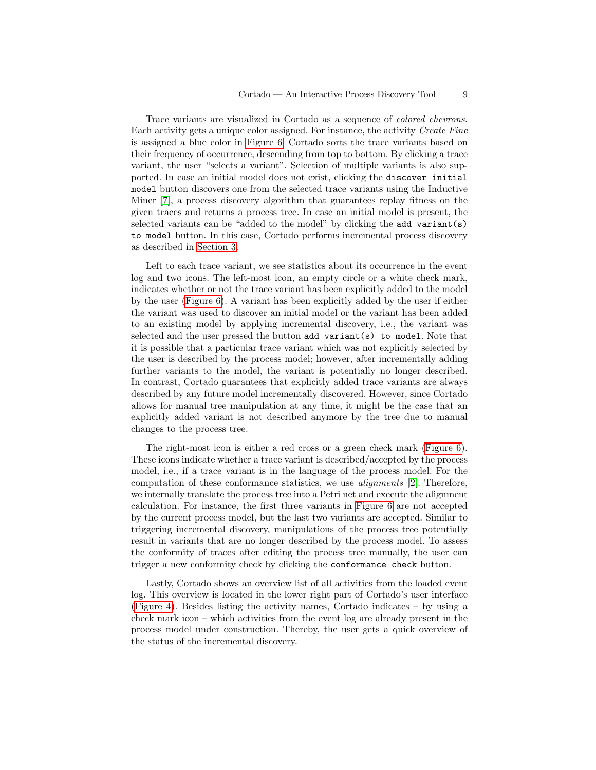Trace variants are visualized in Cortado as a sequence of colored chevrons. Each activity gets a unique color assigned. For instance, the activity Create Fine is assigned a blue color in [Figure 6.](#page-7-1) Cortado sorts the trace variants based on their frequency of occurrence, descending from top to bottom. By clicking a trace variant, the user "selects a variant". Selection of multiple variants is also supported. In case an initial model does not exist, clicking the discover initial model button discovers one from the selected trace variants using the Inductive Miner [\[7\]](#page-10-6), a process discovery algorithm that guarantees replay fitness on the given traces and returns a process tree. In case an initial model is present, the selected variants can be "added to the model" by clicking the add variant(s) to model button. In this case, Cortado performs incremental process discovery as described in [Section 3.](#page-4-0)

Left to each trace variant, we see statistics about its occurrence in the event log and two icons. The left-most icon, an empty circle or a white check mark, indicates whether or not the trace variant has been explicitly added to the model by the user [\(Figure 6\)](#page-7-1). A variant has been explicitly added by the user if either the variant was used to discover an initial model or the variant has been added to an existing model by applying incremental discovery, i.e., the variant was selected and the user pressed the button  $add$  variant(s) to model. Note that it is possible that a particular trace variant which was not explicitly selected by the user is described by the process model; however, after incrementally adding further variants to the model, the variant is potentially no longer described. In contrast, Cortado guarantees that explicitly added trace variants are always described by any future model incrementally discovered. However, since Cortado allows for manual tree manipulation at any time, it might be the case that an explicitly added variant is not described anymore by the tree due to manual changes to the process tree.

The right-most icon is either a red cross or a green check mark [\(Figure 6\)](#page-7-1). These icons indicate whether a trace variant is described/accepted by the process model, i.e., if a trace variant is in the language of the process model. For the computation of these conformance statistics, we use alignments [\[2\]](#page-10-7). Therefore, we internally translate the process tree into a Petri net and execute the alignment calculation. For instance, the first three variants in [Figure 6](#page-7-1) are not accepted by the current process model, but the last two variants are accepted. Similar to triggering incremental discovery, manipulations of the process tree potentially result in variants that are no longer described by the process model. To assess the conformity of traces after editing the process tree manually, the user can trigger a new conformity check by clicking the conformance check button.

Lastly, Cortado shows an overview list of all activities from the loaded event log. This overview is located in the lower right part of Cortado's user interface [\(Figure 4\)](#page-6-0). Besides listing the activity names, Cortado indicates – by using a check mark icon – which activities from the event log are already present in the process model under construction. Thereby, the user gets a quick overview of the status of the incremental discovery.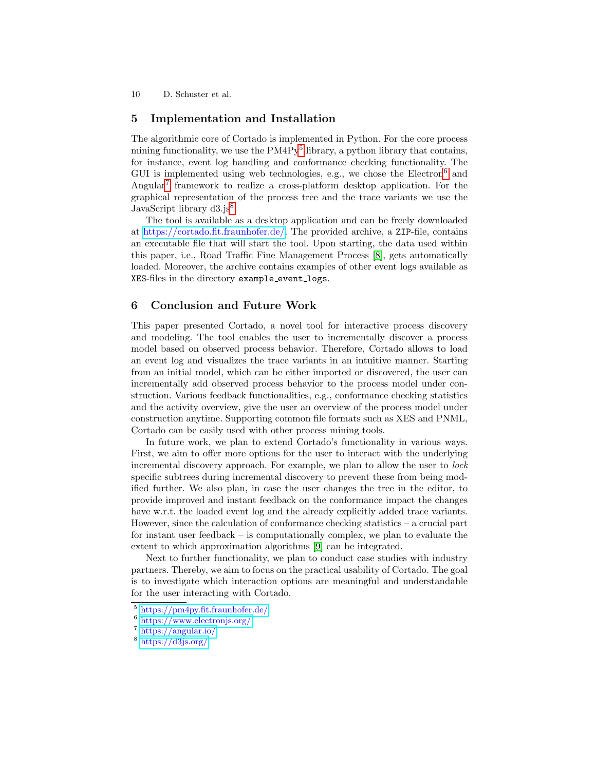10 D. Schuster et al.

# <span id="page-9-0"></span>5 Implementation and Installation

The algorithmic core of Cortado is implemented in Python. For the core process mining functionality, we use the  $PM4Py<sup>5</sup>$  $PM4Py<sup>5</sup>$  $PM4Py<sup>5</sup>$  library, a python library that contains, for instance, event log handling and conformance checking functionality. The GUI is implemented using web technologies, e.g., we chose the Electron<sup>[6](#page-9-3)</sup> and Angular[7](#page-9-4) framework to realize a cross-platform desktop application. For the graphical representation of the process tree and the trace variants we use the JavaScript library d3.js<sup>[8](#page-9-5)</sup>.

The tool is available as a desktop application and can be freely downloaded at [https://cortado.fit.fraunhofer.de/.](https://cortado.fit.fraunhofer.de/) The provided archive, a ZIP-file, contains an executable file that will start the tool. Upon starting, the data used within this paper, i.e., Road Traffic Fine Management Process [\[8\]](#page-10-5), gets automatically loaded. Moreover, the archive contains examples of other event logs available as XES-files in the directory example event logs.

## <span id="page-9-1"></span>6 Conclusion and Future Work

This paper presented Cortado, a novel tool for interactive process discovery and modeling. The tool enables the user to incrementally discover a process model based on observed process behavior. Therefore, Cortado allows to load an event log and visualizes the trace variants in an intuitive manner. Starting from an initial model, which can be either imported or discovered, the user can incrementally add observed process behavior to the process model under construction. Various feedback functionalities, e.g., conformance checking statistics and the activity overview, give the user an overview of the process model under construction anytime. Supporting common file formats such as XES and PNML, Cortado can be easily used with other process mining tools.

In future work, we plan to extend Cortado's functionality in various ways. First, we aim to offer more options for the user to interact with the underlying incremental discovery approach. For example, we plan to allow the user to *lock* specific subtrees during incremental discovery to prevent these from being modified further. We also plan, in case the user changes the tree in the editor, to provide improved and instant feedback on the conformance impact the changes have w.r.t. the loaded event log and the already explicitly added trace variants. However, since the calculation of conformance checking statistics  $-$  a crucial part for instant user feedback – is computationally complex, we plan to evaluate the extent to which approximation algorithms [\[9\]](#page-10-9) can be integrated.

Next to further functionality, we plan to conduct case studies with industry partners. Thereby, we aim to focus on the practical usability of Cortado. The goal is to investigate which interaction options are meaningful and understandable for the user interacting with Cortado.

<span id="page-9-2"></span><sup>5</sup> <https://pm4py.fit.fraunhofer.de/>

<span id="page-9-3"></span><sup>6</sup> <https://www.electronjs.org/>

<span id="page-9-4"></span><sup>7</sup> <https://angular.io/>

<span id="page-9-5"></span><sup>8</sup> <https://d3js.org/>